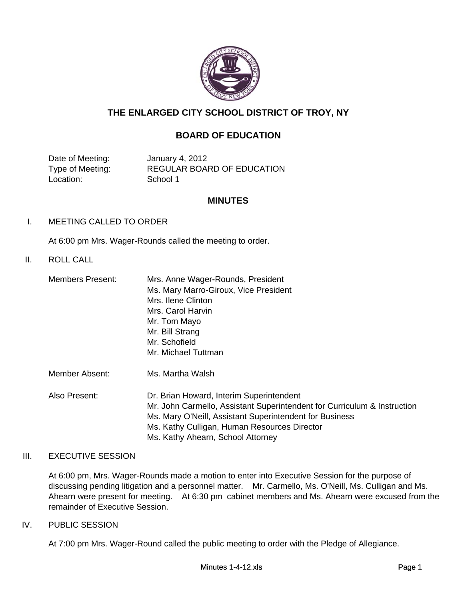

# **THE ENLARGED CITY SCHOOL DISTRICT OF TROY, NY**

# **BOARD OF EDUCATION**

Date of Meeting: January 4, 2012 Location: School 1

Type of Meeting: REGULAR BOARD OF EDUCATION

# **MINUTES**

### I. MEETING CALLED TO ORDER

At 6:00 pm Mrs. Wager-Rounds called the meeting to order.

### II. ROLL CALL

| <b>Members Present:</b> | Mrs. Anne Wager-Rounds, President                                        |  |  |  |
|-------------------------|--------------------------------------------------------------------------|--|--|--|
|                         | Ms. Mary Marro-Giroux, Vice President                                    |  |  |  |
|                         | Mrs. Ilene Clinton                                                       |  |  |  |
|                         | Mrs. Carol Harvin                                                        |  |  |  |
|                         | Mr. Tom Mayo                                                             |  |  |  |
|                         | Mr. Bill Strang                                                          |  |  |  |
|                         | Mr. Schofield                                                            |  |  |  |
|                         | Mr. Michael Tuttman                                                      |  |  |  |
| Member Absent:          | Ms. Martha Walsh                                                         |  |  |  |
| Also Present:           | Dr. Brian Howard, Interim Superintendent                                 |  |  |  |
|                         | Mr. John Carmello, Assistant Superintendent for Curriculum & Instruction |  |  |  |
|                         | Ms. Mary O'Neill, Assistant Superintendent for Business                  |  |  |  |
|                         | Ms. Kathy Culligan, Human Resources Director                             |  |  |  |
|                         | Ms. Kathy Ahearn, School Attorney                                        |  |  |  |

### III. EXECUTIVE SESSION

At 6:00 pm, Mrs. Wager-Rounds made a motion to enter into Executive Session for the purpose of discussing pending litigation and a personnel matter. Mr. Carmello, Ms. O'Neill, Ms. Culligan and Ms. Ahearn were present for meeting. At 6:30 pm cabinet members and Ms. Ahearn were excused from the remainder of Executive Session.

### IV. PUBLIC SESSION

At 7:00 pm Mrs. Wager-Round called the public meeting to order with the Pledge of Allegiance.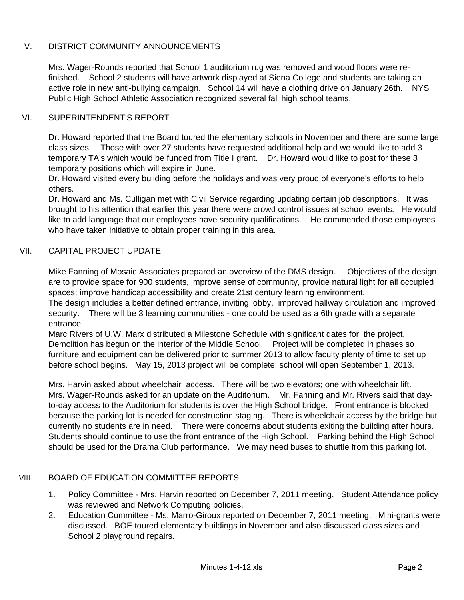# V. DISTRICT COMMUNITY ANNOUNCEMENTS

Mrs. Wager-Rounds reported that School 1 auditorium rug was removed and wood floors were refinished. School 2 students will have artwork displayed at Siena College and students are taking an active role in new anti-bullying campaign. School 14 will have a clothing drive on January 26th. NYS Public High School Athletic Association recognized several fall high school teams.

# VI. SUPERINTENDENT'S REPORT

Dr. Howard reported that the Board toured the elementary schools in November and there are some large class sizes. Those with over 27 students have requested additional help and we would like to add 3 temporary TA's which would be funded from Title I grant. Dr. Howard would like to post for these 3 temporary positions which will expire in June.

Dr. Howard visited every building before the holidays and was very proud of everyone's efforts to help others.

Dr. Howard and Ms. Culligan met with Civil Service regarding updating certain job descriptions. It was brought to his attention that earlier this year there were crowd control issues at school events. He would like to add language that our employees have security qualifications. He commended those employees who have taken initiative to obtain proper training in this area.

# VII. CAPITAL PROJECT UPDATE

Mike Fanning of Mosaic Associates prepared an overview of the DMS design. Objectives of the design are to provide space for 900 students, improve sense of community, provide natural light for all occupied spaces; improve handicap accessibility and create 21st century learning environment.

The design includes a better defined entrance, inviting lobby, improved hallway circulation and improved security. There will be 3 learning communities - one could be used as a 6th grade with a separate entrance.

Marc Rivers of U.W. Marx distributed a Milestone Schedule with significant dates for the project. Demolition has begun on the interior of the Middle School. Project will be completed in phases so furniture and equipment can be delivered prior to summer 2013 to allow faculty plenty of time to set up before school begins. May 15, 2013 project will be complete; school will open September 1, 2013.

Mrs. Harvin asked about wheelchair access. There will be two elevators; one with wheelchair lift. Mrs. Wager-Rounds asked for an update on the Auditorium. Mr. Fanning and Mr. Rivers said that dayto-day access to the Auditorium for students is over the High School bridge. Front entrance is blocked because the parking lot is needed for construction staging. There is wheelchair access by the bridge but currently no students are in need. There were concerns about students exiting the building after hours. Students should continue to use the front entrance of the High School. Parking behind the High School should be used for the Drama Club performance. We may need buses to shuttle from this parking lot.

# VIII. BOARD OF EDUCATION COMMITTEE REPORTS

- 1. Policy Committee - Mrs. Harvin reported on December 7, 2011 meeting. Student Attendance policy was reviewed and Network Computing policies.
- 2. Education Committee - Ms. Marro-Giroux reported on December 7, 2011 meeting. Mini-grants were discussed. BOE toured elementary buildings in November and also discussed class sizes and School 2 playground repairs.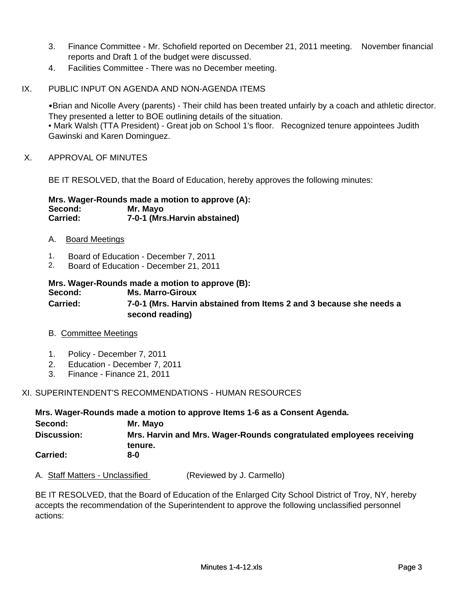- 3. Finance Committee - Mr. Schofield reported on December 21, 2011 meeting. November financial reports and Draft 1 of the budget were discussed.
- 4. Facilities Committee There was no December meeting.
- IX. PUBLIC INPUT ON AGENDA AND NON-AGENDA ITEMS

• Mark Walsh (TTA President) - Great job on School 1's floor. Recognized tenure appointees Judith Gawinski and Karen Dominguez. •Brian and Nicolle Avery (parents) - Their child has been treated unfairly by a coach and athletic director. They presented a letter to BOE outlining details of the situation.

### X. APPROVAL OF MINUTES

BE IT RESOLVED, that the Board of Education, hereby approves the following minutes:

**Mrs. Wager-Rounds made a motion to approve (A):** Second: **Mr. Mayo**<br>Carried: 7-0-1 (Mrs **Carried: 7-0-1 (Mrs.Harvin abstained)**

- A. Board Meetings
- 1. Board of Education December 7, 2011
- 2. Board of Education December 21, 2011

#### **Mrs. Wager-Rounds made a motion to approve (B):**

**Second: Ms. Marro-Giroux 7-0-1 (Mrs. Harvin abstained from Items 2 and 3 because she needs a second reading) Carried:**

#### B. Committee Meetings

- 1. Policy December 7, 2011
- 2. Education December 7, 2011
- 3. Finance Finance 21, 2011

# XI. SUPERINTENDENT'S RECOMMENDATIONS - HUMAN RESOURCES

|                    | Mrs. Wager-Rounds made a motion to approve Items 1-6 as a Consent Agenda. |
|--------------------|---------------------------------------------------------------------------|
| Second:            | Mr. Mayo                                                                  |
| <b>Discussion:</b> | Mrs. Harvin and Mrs. Wager-Rounds congratulated employees receiving       |
|                    | tenure.                                                                   |
| <b>Carried:</b>    | 8-0                                                                       |

A. Staff Matters - Unclassified (Reviewed by J. Carmello)

BE IT RESOLVED, that the Board of Education of the Enlarged City School District of Troy, NY, hereby accepts the recommendation of the Superintendent to approve the following unclassified personnel actions: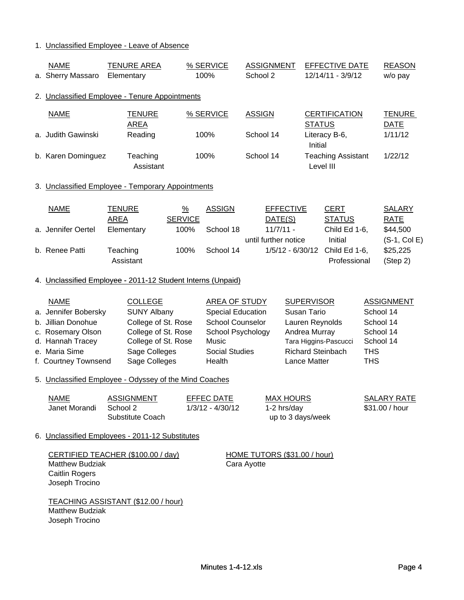# 1. Unclassified Employee - Leave of Absence

| <b>NAME</b><br>a. Sherry Massaro                                                                                                                       | <b>TENURE AREA</b><br>Elementary                                                                                                            |                                 | % SERVICE<br>100%                                                                                                                     | <b>ASSIGNMENT</b><br>School 2 |                                                                                                                                                  | EFFECTIVE DATE<br>12/14/11 - 3/9/12    |                                                                              | <b>REASON</b><br>w/o pay             |
|--------------------------------------------------------------------------------------------------------------------------------------------------------|---------------------------------------------------------------------------------------------------------------------------------------------|---------------------------------|---------------------------------------------------------------------------------------------------------------------------------------|-------------------------------|--------------------------------------------------------------------------------------------------------------------------------------------------|----------------------------------------|------------------------------------------------------------------------------|--------------------------------------|
| 2. Unclassified Employee - Tenure Appointments                                                                                                         |                                                                                                                                             |                                 |                                                                                                                                       |                               |                                                                                                                                                  |                                        |                                                                              |                                      |
| <b>NAME</b>                                                                                                                                            | <b>TENURE</b><br>AREA                                                                                                                       |                                 | % SERVICE                                                                                                                             | <b>ASSIGN</b>                 | <b>STATUS</b>                                                                                                                                    | <b>CERTIFICATION</b>                   |                                                                              | <b>TENURE</b><br><b>DATE</b>         |
| a. Judith Gawinski                                                                                                                                     | Reading                                                                                                                                     |                                 | 100%                                                                                                                                  | School 14                     | Initial                                                                                                                                          | Literacy B-6,                          |                                                                              | 1/11/12                              |
| b. Karen Dominguez                                                                                                                                     | Teaching<br>Assistant                                                                                                                       |                                 | 100%                                                                                                                                  | School 14                     |                                                                                                                                                  | <b>Teaching Assistant</b><br>Level III |                                                                              | 1/22/12                              |
|                                                                                                                                                        | 3. Unclassified Employee - Temporary Appointments                                                                                           |                                 |                                                                                                                                       |                               |                                                                                                                                                  |                                        |                                                                              |                                      |
| <b>NAME</b>                                                                                                                                            | <b>TENURE</b><br><b>AREA</b>                                                                                                                | $\frac{9}{6}$<br><b>SERVICE</b> | <b>ASSIGN</b>                                                                                                                         |                               | <b>EFFECTIVE</b><br>DATE(S)                                                                                                                      | <b>CERT</b><br><b>STATUS</b>           |                                                                              | <b>SALARY</b><br><b>RATE</b>         |
| a. Jennifer Oertel                                                                                                                                     | Elementary                                                                                                                                  | 100%                            | School 18                                                                                                                             | until further notice          | $11/7/11 -$                                                                                                                                      | Child Ed 1-6,<br>Initial               |                                                                              | \$44,500<br>$(S-1, Col E)$           |
| b. Renee Patti                                                                                                                                         | Teaching<br>Assistant                                                                                                                       | 100%                            | School 14                                                                                                                             |                               | 1/5/12 - 6/30/12                                                                                                                                 | Child Ed 1-6.<br>Professional          |                                                                              | \$25,225<br>(Step 2)                 |
|                                                                                                                                                        | 4. Unclassified Employee - 2011-12 Student Interns (Unpaid)                                                                                 |                                 |                                                                                                                                       |                               |                                                                                                                                                  |                                        |                                                                              |                                      |
| <b>NAME</b><br>a. Jennifer Bobersky<br>b. Jillian Donohue<br>c. Rosemary Olson<br>d. Hannah Tracey<br>e. Maria Sime<br>f. Courtney Townsend            | <b>COLLEGE</b><br><b>SUNY Albany</b><br>College of St. Rose<br>College of St. Rose<br>College of St. Rose<br>Sage Colleges<br>Sage Colleges |                                 | AREA OF STUDY<br><b>Special Education</b><br><b>School Counselor</b><br>School Psychology<br>Music<br><b>Social Studies</b><br>Health |                               | <b>SUPERVISOR</b><br>Susan Tario<br>Lauren Reynolds<br>Andrea Murray<br>Tara Higgins-Pascucci<br><b>Richard Steinbach</b><br><b>Lance Matter</b> |                                        | School 14<br>School 14<br>School 14<br>School 14<br><b>THS</b><br><b>THS</b> | <b>ASSIGNMENT</b>                    |
|                                                                                                                                                        | 5. Unclassified Employee - Odyssey of the Mind Coaches                                                                                      |                                 |                                                                                                                                       |                               |                                                                                                                                                  |                                        |                                                                              |                                      |
| <b>NAME</b><br>Janet Morandi                                                                                                                           | <b>ASSIGNMENT</b><br>School 2<br><b>Substitute Coach</b>                                                                                    |                                 | <b>EFFEC DATE</b><br>$1/3/12 - 4/30/12$                                                                                               |                               | <b>MAX HOURS</b><br>1-2 hrs/day<br>up to 3 days/week                                                                                             |                                        |                                                                              | <b>SALARY RATE</b><br>\$31.00 / hour |
|                                                                                                                                                        | 6. Unclassified Employees - 2011-12 Substitutes                                                                                             |                                 |                                                                                                                                       |                               |                                                                                                                                                  |                                        |                                                                              |                                      |
| CERTIFIED TEACHER (\$100.00 / day)<br>HOME TUTORS (\$31.00 / hour)<br><b>Matthew Budziak</b><br>Cara Ayotte<br><b>Caitlin Rogers</b><br>Joseph Trocino |                                                                                                                                             |                                 |                                                                                                                                       |                               |                                                                                                                                                  |                                        |                                                                              |                                      |
| TEACHING ASSISTANT (\$12.00 / hour)<br><b>Matthew Budziak</b><br>Joseph Trocino                                                                        |                                                                                                                                             |                                 |                                                                                                                                       |                               |                                                                                                                                                  |                                        |                                                                              |                                      |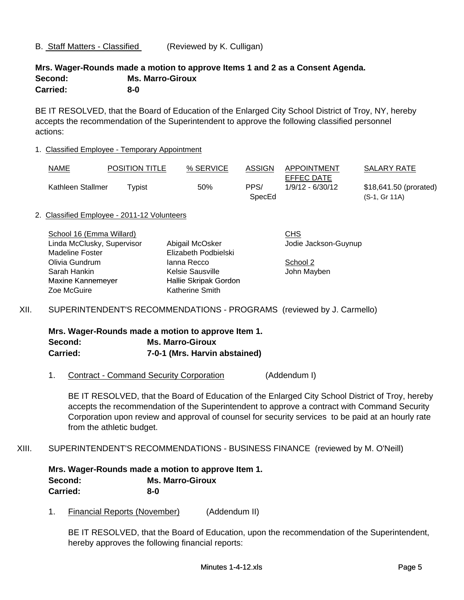# B. Staff Matters - Classified (Reviewed by K. Culligan)

#### **Mrs. Wager-Rounds made a motion to approve Items 1 and 2 as a Consent Agenda. Second: Ms. Marro-Giroux Carried: 8-0**

BE IT RESOLVED, that the Board of Education of the Enlarged City School District of Troy, NY, hereby accepts the recommendation of the Superintendent to approve the following classified personnel actions:

### 1. Classified Employee - Temporary Appointment

| <b>NAME</b>       | <b>POSITION TITLE</b> | % SERVICE | ASSIGN | APPOINTMENT      | <b>SALARY RATE</b>     |
|-------------------|-----------------------|-----------|--------|------------------|------------------------|
|                   |                       |           |        | EFFEC DATE       |                        |
| Kathleen Stallmer | Tvpist                | 50%       | PPS/   | 1/9/12 - 6/30/12 | \$18,641.50 (prorated) |
|                   |                       |           | SpecEd |                  | $(S-1, Gr 11A)$        |

### 2. Classified Employee - 2011-12 Volunteers

| School 16 (Emma Willard)   |                       | <b>CHS</b>           |
|----------------------------|-----------------------|----------------------|
| Linda McClusky, Supervisor | Abigail McOsker       | Jodie Jackson-Guynup |
| Madeline Foster            | Elizabeth Podbielski  |                      |
| Olivia Gundrum             | lanna Recco           | School 2             |
| Sarah Hankin               | Kelsie Sausville      | John Mayben          |
| <b>Maxine Kannemeyer</b>   | Hallie Skripak Gordon |                      |
| Zoe McGuire                | Katherine Smith       |                      |
|                            |                       |                      |

# XII. SUPERINTENDENT'S RECOMMENDATIONS - PROGRAMS (reviewed by J. Carmello)

|                 | Mrs. Wager-Rounds made a motion to approve Item 1. |
|-----------------|----------------------------------------------------|
| Second:         | <b>Ms. Marro-Giroux</b>                            |
| <b>Carried:</b> | 7-0-1 (Mrs. Harvin abstained)                      |

1. Contract - Command Security Corporation (Addendum I)

BE IT RESOLVED, that the Board of Education of the Enlarged City School District of Troy, hereby accepts the recommendation of the Superintendent to approve a contract with Command Security Corporation upon review and approval of counsel for security services to be paid at an hourly rate from the athletic budget.

# XIII. SUPERINTENDENT'S RECOMMENDATIONS - BUSINESS FINANCE (reviewed by M. O'Neill)

#### **Mrs. Wager-Rounds made a motion to approve Item 1. Second: Ms. Marro-Giroux Carried: 8-0**

1. Financial Reports (November) (Addendum II)

BE IT RESOLVED, that the Board of Education, upon the recommendation of the Superintendent, hereby approves the following financial reports: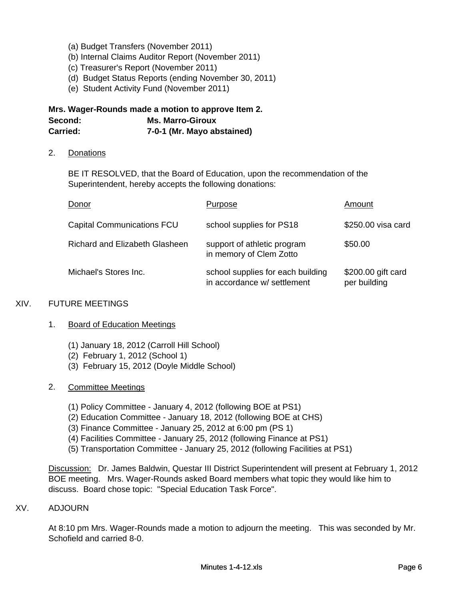- (a) Budget Transfers (November 2011)
- (b) Internal Claims Auditor Report (November 2011)
- (c) Treasurer's Report (November 2011)
- (d) Budget Status Reports (ending November 30, 2011)
- (e) Student Activity Fund (November 2011)

|                 | Mrs. Wager-Rounds made a motion to approve Item 2. |
|-----------------|----------------------------------------------------|
| Second:         | <b>Ms. Marro-Giroux</b>                            |
| <b>Carried:</b> | 7-0-1 (Mr. Mayo abstained)                         |

### 2. Donations

BE IT RESOLVED, that the Board of Education, upon the recommendation of the Superintendent, hereby accepts the following donations:

| Donor                                 | Purpose                                                          | Amount                             |
|---------------------------------------|------------------------------------------------------------------|------------------------------------|
| <b>Capital Communications FCU</b>     | school supplies for PS18                                         | \$250.00 visa card                 |
| <b>Richard and Elizabeth Glasheen</b> | support of athletic program<br>in memory of Clem Zotto           | \$50.00                            |
| Michael's Stores Inc.                 | school supplies for each building<br>in accordance w/ settlement | \$200.00 gift card<br>per building |

### XIV. FUTURE MEETINGS

# 1. Board of Education Meetings

- (1) January 18, 2012 (Carroll Hill School)
- (2) February 1, 2012 (School 1)
- (3) February 15, 2012 (Doyle Middle School)

# 2. Committee Meetings

- (1) Policy Committee January 4, 2012 (following BOE at PS1)
- (2) Education Committee January 18, 2012 (following BOE at CHS)
- (3) Finance Committee January 25, 2012 at 6:00 pm (PS 1)
- (4) Facilities Committee January 25, 2012 (following Finance at PS1)
- (5) Transportation Committee January 25, 2012 (following Facilities at PS1)

Discussion: Dr. James Baldwin, Questar III District Superintendent will present at February 1, 2012 BOE meeting. Mrs. Wager-Rounds asked Board members what topic they would like him to discuss. Board chose topic: "Special Education Task Force".

### XV. ADJOURN

At 8:10 pm Mrs. Wager-Rounds made a motion to adjourn the meeting. This was seconded by Mr. Schofield and carried 8-0.